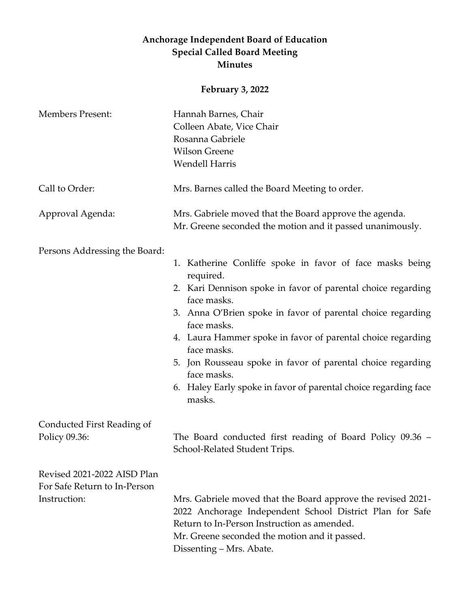## **Anchorage Independent Board of Education Special Called Board Meeting Minutes**

## **February 3, 2022**

| <b>Members Present:</b>       | Hannah Barnes, Chair                                                                                                                                                                                                                                 |
|-------------------------------|------------------------------------------------------------------------------------------------------------------------------------------------------------------------------------------------------------------------------------------------------|
|                               | Colleen Abate, Vice Chair                                                                                                                                                                                                                            |
|                               | Rosanna Gabriele                                                                                                                                                                                                                                     |
|                               | <b>Wilson Greene</b>                                                                                                                                                                                                                                 |
|                               | <b>Wendell Harris</b>                                                                                                                                                                                                                                |
| Call to Order:                | Mrs. Barnes called the Board Meeting to order.                                                                                                                                                                                                       |
| Approval Agenda:              | Mrs. Gabriele moved that the Board approve the agenda.                                                                                                                                                                                               |
|                               | Mr. Greene seconded the motion and it passed unanimously.                                                                                                                                                                                            |
| Persons Addressing the Board: |                                                                                                                                                                                                                                                      |
|                               | 1. Katherine Conliffe spoke in favor of face masks being<br>required.                                                                                                                                                                                |
|                               | 2. Kari Dennison spoke in favor of parental choice regarding<br>face masks.                                                                                                                                                                          |
|                               | 3. Anna O'Brien spoke in favor of parental choice regarding<br>face masks.                                                                                                                                                                           |
|                               | 4. Laura Hammer spoke in favor of parental choice regarding<br>face masks.                                                                                                                                                                           |
|                               | 5. Jon Rousseau spoke in favor of parental choice regarding<br>face masks.                                                                                                                                                                           |
|                               | 6. Haley Early spoke in favor of parental choice regarding face<br>masks.                                                                                                                                                                            |
| Conducted First Reading of    |                                                                                                                                                                                                                                                      |
| Policy 09.36:                 | The Board conducted first reading of Board Policy 09.36 –<br>School-Related Student Trips.                                                                                                                                                           |
| Revised 2021-2022 AISD Plan   |                                                                                                                                                                                                                                                      |
| For Safe Return to In-Person  |                                                                                                                                                                                                                                                      |
| Instruction:                  | Mrs. Gabriele moved that the Board approve the revised 2021-<br>2022 Anchorage Independent School District Plan for Safe<br>Return to In-Person Instruction as amended.<br>Mr. Greene seconded the motion and it passed.<br>Dissenting – Mrs. Abate. |